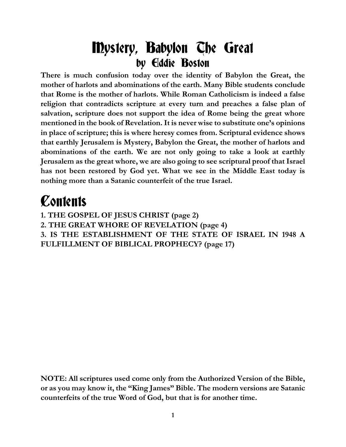## Mystery, Babylon The Great by Eddie Boston

**There is much confusion today over the identity of Babylon the Great, the mother of harlots and abominations of the earth. Many Bible students conclude that Rome is the mother of harlots. While Roman Catholicism is indeed a false religion that contradicts scripture at every turn and preaches a false plan of salvation, scripture does not support the idea of Rome being the great whore mentioned in the book of Revelation. It is never wise to substitute one's opinions in place of scripture; this is where heresy comes from. Scriptural evidence shows that earthly Jerusalem is Mystery, Babylon the Great, the mother of harlots and abominations of the earth. We are not only going to take a look at earthly Jerusalem as the great whore, we are also going to see scriptural proof that Israel has not been restored by God yet. What we see in the Middle East today is nothing more than a Satanic counterfeit of the true Israel.**

# Contents

**1. THE GOSPEL OF JESUS CHRIST (page 2) 2. THE GREAT WHORE OF REVELATION (page 4) 3. IS THE ESTABLISHMENT OF THE STATE OF ISRAEL IN 1948 A FULFILLMENT OF BIBLICAL PROPHECY? (page 17)**

**NOTE: All scriptures used come only from the Authorized Version of the Bible, or as you may know it, the "King James" Bible. The modern versions are Satanic counterfeits of the true Word of God, but that is for another time.**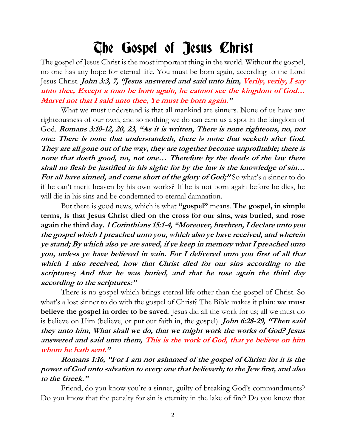## The Gospel of Jesus Christ

The gospel of Jesus Christ is the most important thing in the world. Without the gospel, no one has any hope for eternal life. You must be born again, according to the Lord Jesus Christ. **John 3:3, 7, "Jesus answered and said unto him, Verily, verily, I say unto thee, Except a man be born again, he cannot see the kingdom of God… Marvel not that I said unto thee, Ye must be born again."**

What we must understand is that all mankind are sinners. None of us have any righteousness of our own, and so nothing we do can earn us a spot in the kingdom of God. **Romans 3:10-12, 20, 23, "As it is written, There is none righteous, no, not one: There is none that understandeth, there is none that seeketh after God. They are all gone out of the way, they are together become unprofitable; there is none that doeth good, no, not one… Therefore by the deeds of the law there shall no flesh be justified in his sight: for by the law is the knowledge of sin…**  For all have sinned, and come short of the glory of God;" So what's a sinner to do if he can't merit heaven by his own works? If he is not born again before he dies, he will die in his sins and be condemned to eternal damnation.

But there is good news, which is what **"gospel"** means. **The gospel, in simple terms, is that Jesus Christ died on the cross for our sins, was buried, and rose again the third day. 1 Corinthians 15:1-4, "Moreover, brethren, I declare unto you the gospel which I preached unto you, which also ye have received, and wherein ye stand; By which also ye are saved, if ye keep in memory what I preached unto you, unless ye have believed in vain. For I delivered unto you first of all that which I also received, how that Christ died for our sins according to the scriptures; And that he was buried, and that he rose again the third day according to the scriptures:"**

There is no gospel which brings eternal life other than the gospel of Christ. So what's a lost sinner to do with the gospel of Christ? The Bible makes it plain: **we must believe the gospel in order to be saved**. Jesus did all the work for us; all we must do is believe on Him (believe, or put our faith in, the gospel). **John 6:28-29, "Then said they unto him, What shall we do, that we might work the works of God? Jesus answered and said unto them, This is the work of God, that ye believe on him whom he hath sent."**

**Romans 1:16, "For I am not ashamed of the gospel of Christ: for it is the power of God unto salvation to every one that believeth; to the Jew first, and also to the Greek."**

Friend, do you know you're a sinner, guilty of breaking God's commandments? Do you know that the penalty for sin is eternity in the lake of fire? Do you know that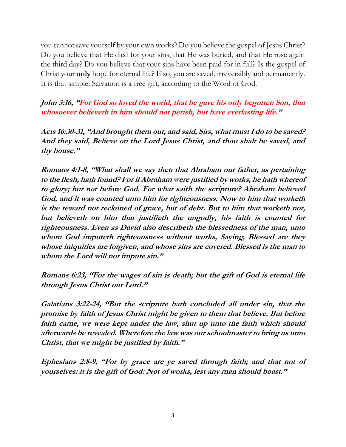you cannot save yourself by your own works? Do you believe the gospel of Jesus Christ? Do you believe that He died for your sins, that He was buried, and that He rose again the third day? Do you believe that your sins have been paid for in full? Is the gospel of Christ your **only** hope for eternal life? If so, you are saved, irreversibly and permanently. It is that simple. Salvation is a free gift, according to the Word of God.

**John 3:16, "For God so loved the world, that he gave his only begotten Son, that whosoever believeth in him should not perish, but have everlasting life."**

**Acts 16:30-31, "And brought them out, and said, Sirs, what must I do to be saved? And they said, Believe on the Lord Jesus Christ, and thou shalt be saved, and thy house."**

**Romans 4:1-8, "What shall we say then that Abraham our father, as pertaining to the flesh, hath found? For if Abraham were justified by works, he hath whereof to glory; but not before God. For what saith the scripture? Abraham believed God, and it was counted unto him for righteousness. Now to him that worketh is the reward not reckoned of grace, but of debt. But to him that worketh not, but believeth on him that justifieth the ungodly, his faith is counted for righteousness. Even as David also describeth the blessedness of the man, unto whom God imputeth righteousness without works, Saying, Blessed are they whose iniquities are forgiven, and whose sins are covered. Blessed is the man to whom the Lord will not impute sin."**

**Romans 6:23, "For the wages of sin is death; but the gift of God is eternal life through Jesus Christ our Lord."**

**Galatians 3:22-24, "But the scripture hath concluded all under sin, that the promise by faith of Jesus Christ might be given to them that believe. But before faith came, we were kept under the law, shut up unto the faith which should afterwards be revealed. Wherefore the law was our schoolmaster to bring us unto Christ, that we might be justified by faith."**

**Ephesians 2:8-9, "For by grace are ye saved through faith; and that not of yourselves: it is the gift of God: Not of works, lest any man should boast."**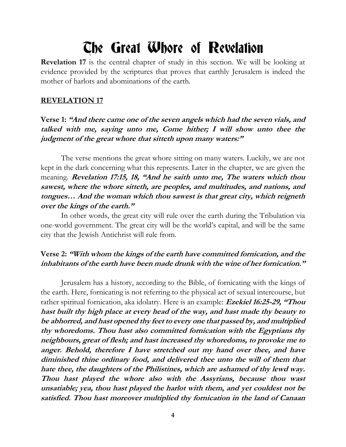# The Great Whore of Revelation

**Revelation 17** is the central chapter of study in this section. We will be looking at evidence provided by the scriptures that proves that earthly Jerusalem is indeed the mother of harlots and abominations of the earth.

#### **REVELATION 17**

**Verse 1: "And there came one of the seven angels which had the seven vials, and talked with me, saying unto me, Come hither; I will show unto thee the judgment of the great whore that sitteth upon many waters:"**

The verse mentions the great whore sitting on many waters. Luckily, we are not kept in the dark concerning what this represents. Later in the chapter, we are given the meaning. **Revelation 17:15, 18, "And he saith unto me, The waters which thou sawest, where the whore sitteth, are peoples, and multitudes, and nations, and tongues… And the woman which thou sawest is that great city, which reigneth over the kings of the earth."**

In other words, the great city will rule over the earth during the Tribulation via one-world government. The great city will be the world's capital, and will be the same city that the Jewish Antichrist will rule from.

## **Verse 2: "With whom the kings of the earth have committed fornication, and the inhabitants of the earth have been made drunk with the wine of her fornication."**

Jerusalem has a history, according to the Bible, of fornicating with the kings of the earth. Here, fornicating is not referring to the physical act of sexual intercourse, but rather spiritual fornication, aka idolatry. Here is an example: **Ezekiel 16:25-29, "Thou hast built thy high place at every head of the way, and hast made thy beauty to be abhorred, and hast opened thy feet to every one that passed by, and multiplied thy whoredoms. Thou hast also committed fornication with the Egyptians thy neighbours, great of flesh; and hast increased thy whoredoms, to provoke me to anger. Behold, therefore I have stretched out my hand over thee, and have diminished thine ordinary food, and delivered thee unto the will of them that hate thee, the daughters of the Philistines, which are ashamed of thy lewd way. Thou hast played the whore also with the Assyrians, because thou wast unsatiable; yea, thou hast played the harlot with them, and yet couldest not be satisfied. Thou hast moreover multiplied thy fornication in the land of Canaan**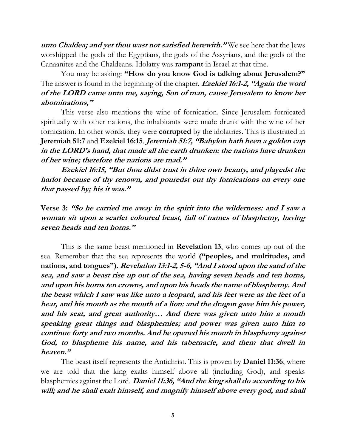**unto Chaldea; and yet thou wast not satisfied herewith.** "We see here that the Jews worshipped the gods of the Egyptians, the gods of the Assyrians, and the gods of the Canaanites and the Chaldeans. Idolatry was **rampant** in Israel at that time.

You may be asking: **"How do you know God is talking about Jerusalem?"**  The answer is found in the beginning of the chapter. **Ezekiel 16:1-2, "Again the word of the LORD came unto me, saying, Son of man, cause Jerusalem to know her abominations,"**

This verse also mentions the wine of fornication. Since Jerusalem fornicated spiritually with other nations, the inhabitants were made drunk with the wine of her fornication. In other words, they were **corrupted** by the idolatries. This is illustrated in **Jeremiah 51:7** and **Ezekiel 16:15**. **Jeremiah 51:7, "Babylon hath been a golden cup in the LORD's hand, that made all the earth drunken: the nations have drunken of her wine; therefore the nations are mad."**

**Ezekiel 16:15, "But thou didst trust in thine own beauty, and playedst the harlot because of thy renown, and pouredst out thy fornications on every one that passed by; his it was."**

**Verse 3: "So he carried me away in the spirit into the wilderness: and I saw a woman sit upon a scarlet coloured beast, full of names of blasphemy, having seven heads and ten horns."**

This is the same beast mentioned in **Revelation 13**, who comes up out of the sea. Remember that the sea represents the world **("peoples, and multitudes, and nations, and tongues")**. **Revelation 13:1-2, 5-6, "And I stood upon the sand of the sea, and saw a beast rise up out of the sea, having seven heads and ten horns, and upon his horns ten crowns, and upon his heads the name of blasphemy. And the beast which I saw was like unto a leopard, and his feet were as the feet of a bear, and his mouth as the mouth of a lion: and the dragon gave him his power, and his seat, and great authority… And there was given unto him a mouth speaking great things and blasphemies; and power was given unto him to continue forty and two months. And he opened his mouth in blasphemy against God, to blaspheme his name, and his tabernacle, and them that dwell in heaven."**

The beast itself represents the Antichrist. This is proven by **Daniel 11:36**, where we are told that the king exalts himself above all (including God), and speaks blasphemies against the Lord. **Daniel 11:36, "And the king shall do according to his will; and he shall exalt himself, and magnify himself above every god, and shall**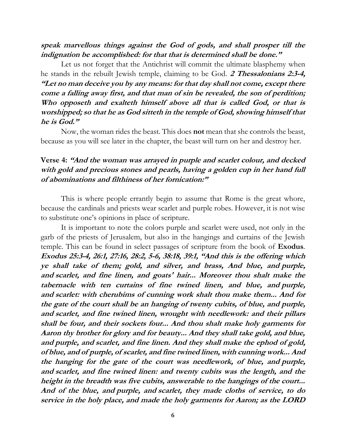**speak marvellous things against the God of gods, and shall prosper till the indignation be accomplished: for that that is determined shall be done."**

Let us not forget that the Antichrist will commit the ultimate blasphemy when he stands in the rebuilt Jewish temple, claiming to be God. **2 Thessalonians 2:3-4, "Let no man deceive you by any means: for that day shall not come, except there come a falling away first, and that man of sin be revealed, the son of perdition; Who opposeth and exalteth himself above all that is called God, or that is worshipped; so that he as God sitteth in the temple of God, showing himself that he is God."**

Now, the woman rides the beast. This does **not** mean that she controls the beast, because as you will see later in the chapter, the beast will turn on her and destroy her.

### **Verse 4: "And the woman was arrayed in purple and scarlet colour, and decked with gold and precious stones and pearls, having a golden cup in her hand full of abominations and filthiness of her fornication:"**

This is where people errantly begin to assume that Rome is the great whore, because the cardinals and priests wear scarlet and purple robes. However, it is not wise to substitute one's opinions in place of scripture.

It is important to note the colors purple and scarlet were used, not only in the garb of the priests of Jerusalem, but also in the hangings and curtains of the Jewish temple. This can be found in select passages of scripture from the book of **Exodus**. **Exodus 25:3-4, 26:1, 27:16, 28:2, 5-6, 38:18, 39:1, "And this is the offering which ye shall take of them; gold, and silver, and brass, And blue, and purple, and scarlet, and fine linen, and goats' hair... Moreover thou shalt make the tabernacle with ten curtains of fine twined linen, and blue, and purple, and scarlet: with cherubims of cunning work shalt thou make them... And for the gate of the court shall be an hanging of twenty cubits, of blue, and purple, and scarlet, and fine twined linen, wrought with needlework: and their pillars shall be four, and their sockets four... And thou shalt make holy garments for Aaron thy brother for glory and for beauty... And they shall take gold, and blue, and purple, and scarlet, and fine linen. And they shall make the ephod of gold, of blue, and of purple, of scarlet, and fine twined linen, with cunning work... And the hanging for the gate of the court was needlework, of blue, and purple, and scarlet, and fine twined linen: and twenty cubits was the length, and the height in the breadth was five cubits, answerable to the hangings of the court... And of the blue, and purple, and scarlet, they made cloths of service, to do service in the holy place, and made the holy garments for Aaron; as the LORD**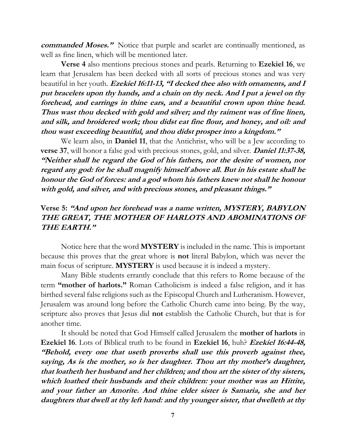*commanded Moses.* Notice that purple and scarlet are continually mentioned, as well as fine linen, which will be mentioned later.

**Verse 4** also mentions precious stones and pearls. Returning to **Ezekiel 16**, we learn that Jerusalem has been decked with all sorts of precious stones and was very beautiful in her youth. **Ezekiel 16:11-13, "I decked thee also with ornaments, and I put bracelets upon thy hands, and a chain on thy neck. And I put a jewel on thy forehead, and earrings in thine ears, and a beautiful crown upon thine head. Thus wast thou decked with gold and silver; and thy raiment was of fine linen, and silk, and broidered work; thou didst eat fine flour, and honey, and oil: and thou wast exceeding beautiful, and thou didst prosper into a kingdom."**

We learn also, in **Daniel 11**, that the Antichrist, who will be a Jew according to **verse 37**, will honor a false god with precious stones, gold, and silver. **Daniel 11:37-38, "Neither shall he regard the God of his fathers, nor the desire of women, nor regard any god: for he shall magnify himself above all. But in his estate shall he honour the God of forces: and a god whom his fathers knew not shall he honour with gold, and silver, and with precious stones, and pleasant things."**

### **Verse 5: "And upon her forehead was a name written, MYSTERY, BABYLON THE GREAT, THE MOTHER OF HARLOTS AND ABOMINATIONS OF THE EARTH."**

Notice here that the word **MYSTERY** is included in the name. This is important because this proves that the great whore is **not** literal Babylon, which was never the main focus of scripture. **MYSTERY** is used because it is indeed a mystery.

Many Bible students errantly conclude that this refers to Rome because of the term **"mother of harlots."** Roman Catholicism is indeed a false religion, and it has birthed several false religions such as the Episcopal Church and Lutheranism. However, Jerusalem was around long before the Catholic Church came into being. By the way, scripture also proves that Jesus did **not** establish the Catholic Church, but that is for another time.

It should be noted that God Himself called Jerusalem the **mother of harlots** in **Ezekiel 16**. Lots of Biblical truth to be found in **Ezekiel 16**, huh? **Ezekiel 16:44-48, "Behold, every one that useth proverbs shall use this proverb against thee, saying, As is the mother, so is her daughter. Thou art thy mother's daughter, that loatheth her husband and her children; and thou art the sister of thy sisters, which loathed their husbands and their children: your mother was an Hittite, and your father an Amorite. And thine elder sister is Samaria, she and her daughters that dwell at thy left hand: and thy younger sister, that dwelleth at thy**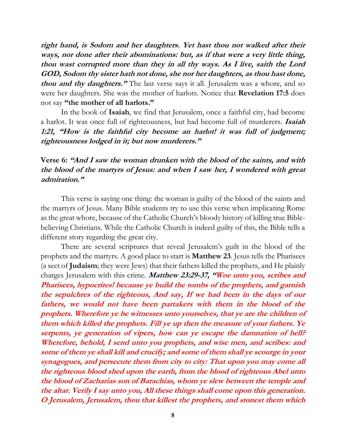**right hand, is Sodom and her daughters. Yet hast thou not walked after their ways, nor done after their abominations: but, as if that were a very little thing, thou wast corrupted more than they in all thy ways. As I live, saith the Lord GOD, Sodom thy sister hath not done, she nor her daughters, as thou hast done, thou and thy daughters."** The last verse says it all. Jerusalem was a whore, and so were her daughters. She was the mother of harlots. Notice that **Revelation 17:5** does not say **"the mother of all harlots."**

In the book of **Isaiah**, we find that Jerusalem, once a faithful city, had become a harlot. It was once full of righteousness, but had become full of murderers. **Isaiah 1:21, "How is the faithful city become an harlot! it was full of judgment; righteousness lodged in it; but now murderers."**

## **Verse 6: "And I saw the woman drunken with the blood of the saints, and with the blood of the martyrs of Jesus: and when I saw her, I wondered with great admiration."**

This verse is saying one thing: the woman is guilty of the blood of the saints and the martyrs of Jesus. Many Bible students try to use this verse when implicating Rome as the great whore, because of the Catholic Church's bloody history of killing true Biblebelieving Christians. While the Catholic Church is indeed guilty of this, the Bible tells a different story regarding the great city.

There are several scriptures that reveal Jerusalem's guilt in the blood of the prophets and the martyrs. A good place to start is **Matthew 23**. Jesus tells the Pharisees (a sect of **Judaism**; they were Jews) that their fathers killed the prophets, and He plainly charges Jerusalem with this crime. **Matthew 23:29-37, "Woe unto you, scribes and Pharisees, hypocrites! because ye build the tombs of the prophets, and garnish the sepulchres of the righteous, And say, If we had been in the days of our fathers, we would not have been partakers with them in the blood of the prophets. Wherefore ye be witnesses unto yourselves, that ye are the children of them which killed the prophets. Fill ye up then the measure of your fathers. Ye serpents, ye generation of vipers, how can ye escape the damnation of hell? Wherefore, behold, I send unto you prophets, and wise men, and scribes: and some of them ye shall kill and crucify; and some of them shall ye scourge in your synagogues, and persecute them from city to city: That upon you may come all the righteous blood shed upon the earth, from the blood of righteous Abel unto the blood of Zacharias son of Barachias, whom ye slew between the temple and the altar. Verily I say unto you, All these things shall come upon this generation. O Jerusalem, Jerusalem, thou that killest the prophets, and stonest them which**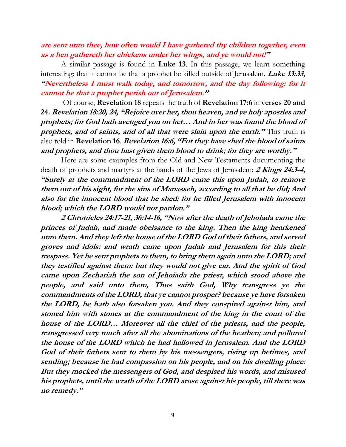**are sent unto thee, how often would I have gathered thy children together, even as a hen gathereth her chickens under her wings, and ye would not!"**

A similar passage is found in **Luke 13**. In this passage, we learn something interesting: that it cannot be that a prophet be killed outside of Jerusalem. **Luke 13:33, "Nevertheless I must walk today, and tomorrow, and the day following: for it cannot be that a prophet perish out of Jerusalem."**

Of course, **Revelation 18** repeats the truth of **Revelation 17:6** in **verses 20 and 24. Revelation 18:20, 24, "Rejoice over her, thou heaven, and ye holy apostles and prophets; for God hath avenged you on her… And in her was found the blood of prophets, and of saints, and of all that were slain upon the earth." This truth is** also told in **Revelation 16**. **Revelation 16:6, "For they have shed the blood of saints and prophets, and thou hast given them blood to drink; for they are worthy."**

Here are some examples from the Old and New Testaments documenting the death of prophets and martyrs at the hands of the Jews of Jerusalem: **2 Kings 24:3-4, "Surely at the commandment of the LORD came this upon Judah, to remove them out of his sight, for the sins of Manasseh, according to all that he did; And also for the innocent blood that he shed: for he filled Jerusalem with innocent blood; which the LORD would not pardon."**

**2 Chronicles 24:17-21, 36:14-16, "Now after the death of Jehoiada came the princes of Judah, and made obeisance to the king. Then the king hearkened unto them. And they left the house of the LORD God of their fathers, and served groves and idols: and wrath came upon Judah and Jerusalem for this their trespass. Yet he sent prophets to them, to bring them again unto the LORD; and they testified against them: but they would not give ear. And the spirit of God came upon Zechariah the son of Jehoiada the priest, which stood above the people, and said unto them, Thus saith God, Why transgress ye the commandments of the LORD, that ye cannot prosper? because ye have forsaken the LORD, he hath also forsaken you. And they conspired against him, and stoned him with stones at the commandment of the king in the court of the house of the LORD… Moreover all the chief of the priests, and the people, transgressed very much after all the abominations of the heathen; and polluted the house of the LORD which he had hallowed in Jerusalem. And the LORD God of their fathers sent to them by his messengers, rising up betimes, and sending; because he had compassion on his people, and on his dwelling place: But they mocked the messengers of God, and despised his words, and misused his prophets, until the wrath of the LORD arose against his people, till there was no remedy."**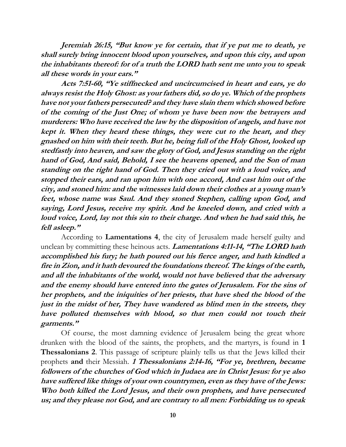**Jeremiah 26:15, "But know ye for certain, that if ye put me to death, ye shall surely bring innocent blood upon yourselves, and upon this city, and upon the inhabitants thereof: for of a truth the LORD hath sent me unto you to speak all these words in your ears."**

**Acts 7:51-60, "Ye stiffnecked and uncircumcised in heart and ears, ye do always resist the Holy Ghost: as your fathers did, so do ye. Which of the prophets have not your fathers persecuted? and they have slain them which showed before of the coming of the Just One; of whom ye have been now the betrayers and murderers: Who have received the law by the disposition of angels, and have not kept it. When they heard these things, they were cut to the heart, and they gnashed on him with their teeth. But he, being full of the Holy Ghost, looked up stedfastly into heaven, and saw the glory of God, and Jesus standing on the right hand of God, And said, Behold, I see the heavens opened, and the Son of man standing on the right hand of God. Then they cried out with a loud voice, and stopped their ears, and ran upon him with one accord, And cast him out of the city, and stoned him: and the witnesses laid down their clothes at a young man's feet, whose name was Saul. And they stoned Stephen, calling upon God, and saying, Lord Jesus, receive my spirit. And he kneeled down, and cried with a loud voice, Lord, lay not this sin to their charge. And when he had said this, he fell asleep."**

According to **Lamentations 4**, the city of Jerusalem made herself guilty and unclean by committing these heinous acts. **Lamentations 4:11-14, "The LORD hath accomplished his fury; he hath poured out his fierce anger, and hath kindled a fire in Zion, and it hath devoured the foundations thereof. The kings of the earth, and all the inhabitants of the world, would not have believed that the adversary and the enemy should have entered into the gates of Jerusalem. For the sins of her prophets, and the iniquities of her priests, that have shed the blood of the just in the midst of her, They have wandered as blind men in the streets, they have polluted themselves with blood, so that men could not touch their garments."**

Of course, the most damning evidence of Jerusalem being the great whore drunken with the blood of the saints, the prophets, and the martyrs, is found in **1 Thessalonians 2**. This passage of scripture plainly tells us that the Jews killed their prophets **and** their Messiah. **1 Thessalonians 2:14-16, "For ye, brethren, became followers of the churches of God which in Judaea are in Christ Jesus: for ye also have suffered like things of your own countrymen, even as they have of the Jews: Who both killed the Lord Jesus, and their own prophets, and have persecuted us; and they please not God, and are contrary to all men: Forbidding us to speak**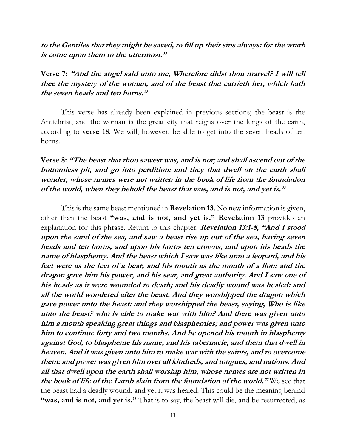**to the Gentiles that they might be saved, to fill up their sins always: for the wrath is come upon them to the uttermost."**

### **Verse 7: "And the angel said unto me, Wherefore didst thou marvel? I will tell thee the mystery of the woman, and of the beast that carrieth her, which hath the seven heads and ten horns."**

This verse has already been explained in previous sections; the beast is the Antichrist, and the woman is the great city that reigns over the kings of the earth, according to **verse 18**. We will, however, be able to get into the seven heads of ten horns.

**Verse 8: "The beast that thou sawest was, and is not; and shall ascend out of the bottomless pit, and go into perdition: and they that dwell on the earth shall wonder, whose names were not written in the book of life from the foundation of the world, when they behold the beast that was, and is not, and yet is."**

This is the same beast mentioned in **Revelation 13**. No new information is given, other than the beast **"was, and is not, and yet is." Revelation 13** provides an explanation for this phrase. Return to this chapter. **Revelation 13:1-8, "And I stood upon the sand of the sea, and saw a beast rise up out of the sea, having seven heads and ten horns, and upon his horns ten crowns, and upon his heads the name of blasphemy. And the beast which I saw was like unto a leopard, and his feet were as the feet of a bear, and his mouth as the mouth of a lion: and the dragon gave him his power, and his seat, and great authority. And I saw one of his heads as it were wounded to death; and his deadly wound was healed: and all the world wondered after the beast. And they worshipped the dragon which gave power unto the beast: and they worshipped the beast, saying, Who is like unto the beast? who is able to make war with him? And there was given unto him a mouth speaking great things and blasphemies; and power was given unto him to continue forty and two months. And he opened his mouth in blasphemy against God, to blaspheme his name, and his tabernacle, and them that dwell in heaven. And it was given unto him to make war with the saints, and to overcome them: and power was given him over all kindreds, and tongues, and nations. And all that dwell upon the earth shall worship him, whose names are not written in the book of life of the Lamb slain from the foundation of the world."** We see that the beast had a deadly wound, and yet it was healed. This could be the meaning behind **"was, and is not, and yet is."** That is to say, the beast will die, and be resurrected, as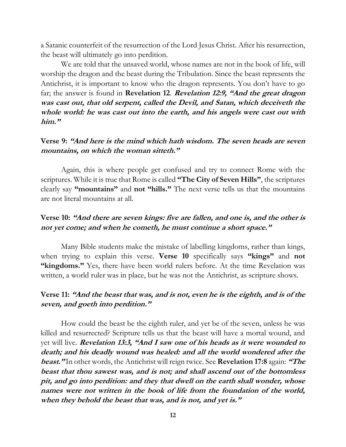a Satanic counterfeit of the resurrection of the Lord Jesus Christ. After his resurrection, the beast will ultimately go into perdition.

We are told that the unsaved world, whose names are not in the book of life, will worship the dragon and the beast during the Tribulation. Since the beast represents the Antichrist, it is important to know who the dragon represents. You don't have to go far; the answer is found in **Revelation 12**. **Revelation 12:9, "And the great dragon was cast out, that old serpent, called the Devil, and Satan, which deceiveth the whole world: he was cast out into the earth, and his angels were cast out with him."**

#### **Verse 9: "And here is the mind which hath wisdom. The seven heads are seven mountains, on which the woman sitteth."**

Again, this is where people get confused and try to connect Rome with the scriptures. While it is true that Rome is called **"The City of Seven Hills"**, the scriptures clearly say **"mountains"** and **not "hills."** The next verse tells us that the mountains are not literal mountains at all.

### **Verse 10: "And there are seven kings: five are fallen, and one is, and the other is not yet come; and when he cometh, he must continue a short space."**

Many Bible students make the mistake of labelling kingdoms, rather than kings, when trying to explain this verse. **Verse 10** specifically says **"kings"** and **not "kingdoms."** Yes, there have been world rulers before. At the time Revelation was written, a world ruler was in place, but he was not the Antichrist, as scripture shows.

#### **Verse 11: "And the beast that was, and is not, even he is the eighth, and is of the seven, and goeth into perdition."**

How could the beast be the eighth ruler, and yet be of the seven, unless he was killed and resurrected? Scripture tells us that the beast will have a mortal wound, and yet will live. **Revelation 13:3, "And I saw one of his heads as it were wounded to death; and his deadly wound was healed: and all the world wondered after the beast."** In other words, the Antichrist will reign twice. See **Revelation 17:8** again: **"The beast that thou sawest was, and is not; and shall ascend out of the bottomless pit, and go into perdition: and they that dwell on the earth shall wonder, whose names were not written in the book of life from the foundation of the world, when they behold the beast that was, and is not, and yet is."**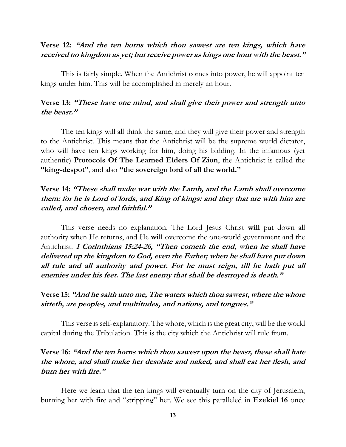#### **Verse 12: "And the ten horns which thou sawest are ten kings, which have received no kingdom as yet; but receive power as kings one hour with the beast."**

This is fairly simple. When the Antichrist comes into power, he will appoint ten kings under him. This will be accomplished in merely an hour.

#### **Verse 13: "These have one mind, and shall give their power and strength unto the beast."**

The ten kings will all think the same, and they will give their power and strength to the Antichrist. This means that the Antichrist will be the supreme world dictator, who will have ten kings working for him, doing his bidding. In the infamous (yet authentic) **Protocols Of The Learned Elders Of Zion**, the Antichrist is called the **"king-despot"**, and also **"the sovereign lord of all the world."**

### **Verse 14: "These shall make war with the Lamb, and the Lamb shall overcome them: for he is Lord of lords, and King of kings: and they that are with him are called, and chosen, and faithful."**

This verse needs no explanation. The Lord Jesus Christ **will** put down all authority when He returns, and He **will** overcome the one-world government and the Antichrist. **1 Corinthians 15:24-26, "Then cometh the end, when he shall have delivered up the kingdom to God, even the Father; when he shall have put down all rule and all authority and power. For he must reign, till he hath put all enemies under his feet. The last enemy that shall be destroyed is death."**

#### **Verse 15: "And he saith unto me, The waters which thou sawest, where the whore sitteth, are peoples, and multitudes, and nations, and tongues."**

This verse is self-explanatory. The whore, which is the great city, will be the world capital during the Tribulation. This is the city which the Antichrist will rule from.

#### **Verse 16: "And the ten horns which thou sawest upon the beast, these shall hate the whore, and shall make her desolate and naked, and shall eat her flesh, and burn her with fire."**

Here we learn that the ten kings will eventually turn on the city of Jerusalem, burning her with fire and "stripping" her. We see this paralleled in **Ezekiel 16** once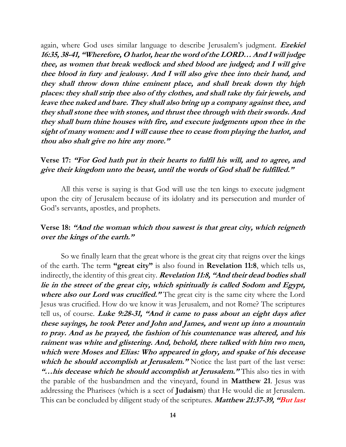again, where God uses similar language to describe Jerusalem's judgment. **Ezekiel 16:35, 38-41, "Wherefore, O harlot, hear the word of the LORD… And I will judge thee, as women that break wedlock and shed blood are judged; and I will give thee blood in fury and jealousy. And I will also give thee into their hand, and they shall throw down thine eminent place, and shall break down thy high places: they shall strip thee also of thy clothes, and shall take thy fair jewels, and leave thee naked and bare. They shall also bring up a company against thee, and they shall stone thee with stones, and thrust thee through with their swords. And they shall burn thine houses with fire, and execute judgments upon thee in the sight of many women: and I will cause thee to cease from playing the harlot, and thou also shalt give no hire any more."**

#### **Verse 17: "For God hath put in their hearts to fulfil his will, and to agree, and give their kingdom unto the beast, until the words of God shall be fulfilled."**

All this verse is saying is that God will use the ten kings to execute judgment upon the city of Jerusalem because of its idolatry and its persecution and murder of God's servants, apostles, and prophets.

#### **Verse 18: "And the woman which thou sawest is that great city, which reigneth over the kings of the earth."**

So we finally learn that the great whore is the great city that reigns over the kings of the earth. The term **"great city"** is also found in **Revelation 11:8**, which tells us, indirectly, the identity of this great city. **Revelation 11:8, "And their dead bodies shall lie in the street of the great city, which spiritually is called Sodom and Egypt,**  where also our Lord was crucified." The great city is the same city where the Lord Jesus was crucified. How do we know it was Jerusalem, and not Rome? The scriptures tell us, of course. **Luke 9:28-31, "And it came to pass about an eight days after these sayings, he took Peter and John and James, and went up into a mountain to pray. And as he prayed, the fashion of his countenance was altered, and his raiment was white and glistering. And, behold, there talked with him two men, which were Moses and Elias: Who appeared in glory, and spake of his decease**  which he should accomplish at Jerusalem." Notice the last part of the last verse: **"…his decease which he should accomplish at Jerusalem."** This also ties in with the parable of the husbandmen and the vineyard, found in **Matthew 21**. Jesus was addressing the Pharisees (which is a sect of **Judaism**) that He would die at Jerusalem. This can be concluded by diligent study of the scriptures. **Matthew 21:37-39, "But last**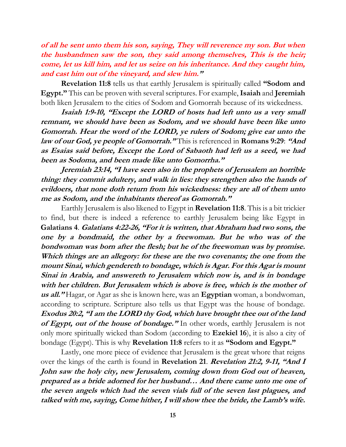**of all he sent unto them his son, saying, They will reverence my son. But when the husbandmen saw the son, they said among themselves, This is the heir; come, let us kill him, and let us seize on his inheritance. And they caught him, and cast him out of the vineyard, and slew him."**

**Revelation 11:8** tells us that earthly Jerusalem is spiritually called **"Sodom and Egypt."** This can be proven with several scriptures. For example, **Isaiah** and **Jeremiah** both liken Jerusalem to the cities of Sodom and Gomorrah because of its wickedness.

**Isaiah 1:9-10, "Except the LORD of hosts had left unto us a very small remnant, we should have been as Sodom, and we should have been like unto Gomorrah. Hear the word of the LORD, ye rulers of Sodom; give ear unto the law of our God, ye people of Gomorrah."** This is referenced in **Romans 9:29**: **"And as Esaias said before, Except the Lord of Sabaoth had left us a seed, we had been as Sodoma, and been made like unto Gomorrha."**

**Jeremiah 23:14, "I have seen also in the prophets of Jerusalem an horrible thing: they commit adultery, and walk in lies: they strengthen also the hands of evildoers, that none doth return from his wickedness: they are all of them unto me as Sodom, and the inhabitants thereof as Gomorrah."**

Earthly Jerusalem is also likened to Egypt in **Revelation 11:8**. This is a bit trickier to find, but there is indeed a reference to earthly Jerusalem being like Egypt in **Galatians 4**. **Galatians 4:22-26, "For it is written, that Abraham had two sons, the one by a bondmaid, the other by a freewoman. But he who was of the bondwoman was born after the flesh; but he of the freewoman was by promise. Which things are an allegory: for these are the two covenants; the one from the mount Sinai, which gendereth to bondage, which is Agar. For this Agar is mount Sinai in Arabia, and answereth to Jerusalem which now is, and is in bondage with her children. But Jerusalem which is above is free, which is the mother of us all."** Hagar, or Agar as she is known here, was an **Egyptian** woman, a bondwoman, according to scripture. Scripture also tells us that Egypt was the house of bondage. **Exodus 20:2, "I am the LORD thy God, which have brought thee out of the land of Egypt, out of the house of bondage."** In other words, earthly Jerusalem is not only more spiritually wicked than Sodom (according to **Ezekiel 16**), it is also a city of bondage (Egypt). This is why **Revelation 11:8** refers to it as **"Sodom and Egypt."**

Lastly, one more piece of evidence that Jerusalem is the great whore that reigns over the kings of the earth is found in **Revelation 21**. **Revelation 21:2, 9-11, "And I John saw the holy city, new Jerusalem, coming down from God out of heaven, prepared as a bride adorned for her husband… And there came unto me one of the seven angels which had the seven vials full of the seven last plagues, and talked with me, saying, Come hither, I will show thee the bride, the Lamb's wife.**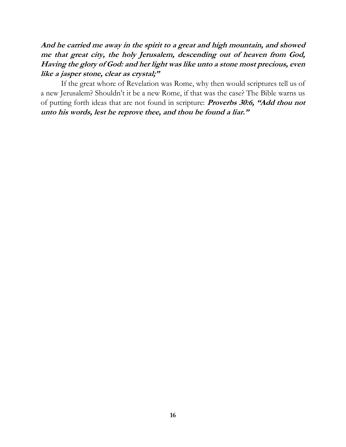## **And he carried me away in the spirit to a great and high mountain, and showed me that great city, the holy Jerusalem, descending out of heaven from God, Having the glory of God: and her light was like unto a stone most precious, even like a jasper stone, clear as crystal;"**

If the great whore of Revelation was Rome, why then would scriptures tell us of a new Jerusalem? Shouldn't it be a new Rome, if that was the case? The Bible warns us of putting forth ideas that are not found in scripture: **Proverbs 30:6, "Add thou not unto his words, lest he reprove thee, and thou be found a liar."**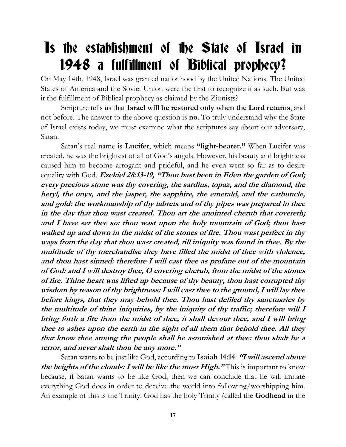## Is the establishment of the State of Israel in 1948 a fulfillment of Biblical prophecy?

On May 14th, 1948, Israel was granted nationhood by the United Nations. The United States of America and the Soviet Union were the first to recognize it as such. But was it the fulfillment of Biblical prophecy as claimed by the Zionists?

Scripture tells us that **Israel will be restored only when the Lord returns**, and not before. The answer to the above question is **no**. To truly understand why the State of Israel exists today, we must examine what the scriptures say about our adversary, Satan.

Satan's real name is **Lucifer**, which means **"light-bearer."** When Lucifer was created, he was the brightest of all of God's angels. However, his beauty and brightness caused him to become arrogant and prideful, and he even went so far as to desire equality with God. **Ezekiel 28:13-19, "Thou hast been in Eden the garden of God; every precious stone was thy covering, the sardius, topaz, and the diamond, the beryl, the onyx, and the jasper, the sapphire, the emerald, and the carbuncle, and gold: the workmanship of thy tabrets and of thy pipes was prepared in thee in the day that thou wast created. Thou art the anointed cherub that covereth; and I have set thee so: thou wast upon the holy mountain of God; thou hast walked up and down in the midst of the stones of fire. Thou wast perfect in thy ways from the day that thou wast created, till iniquity was found in thee. By the multitude of thy merchandise they have filled the midst of thee with violence, and thou hast sinned: therefore I will cast thee as profane out of the mountain of God: and I will destroy thee, O covering cherub, from the midst of the stones of fire. Thine heart was lifted up because of thy beauty, thou hast corrupted thy wisdom by reason of thy brightness: I will cast thee to the ground, I will lay thee before kings, that they may behold thee. Thou hast defiled thy sanctuaries by the multitude of thine iniquities, by the iniquity of thy traffic; therefore will I bring forth a fire from the midst of thee, it shall devour thee, and I will bring thee to ashes upon the earth in the sight of all them that behold thee. All they that know thee among the people shall be astonished at thee: thou shalt be a terror, and never shalt thou be any more."**

Satan wants to be just like God, according to **Isaiah 14:14**: **"I will ascend above the heights of the clouds: I will be like the most High."** This is important to know because, if Satan wants to be like God, then we can conclude that he will imitate everything God does in order to deceive the world into following/worshipping him. An example of this is the Trinity. God has the holy Trinity (called the **Godhead** in the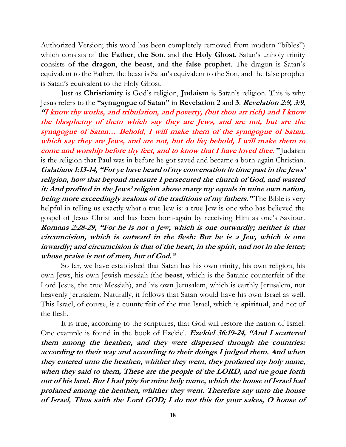Authorized Version; this word has been completely removed from modern "bibles") which consists of **the Father**, **the Son**, and **the Holy Ghost**. Satan's unholy trinity consists of **the dragon**, **the beast**, and **the false prophet**. The dragon is Satan's equivalent to the Father, the beast is Satan's equivalent to the Son, and the false prophet is Satan's equivalent to the Holy Ghost.

Just as **Christianity** is God's religion, **Judaism** is Satan's religion. This is why Jesus refers to the **"synagogue of Satan"** in **Revelation 2** and **3**. **Revelation 2:9, 3:9, "I know thy works, and tribulation, and poverty, (but thou art rich) and I know the blasphemy of them which say they are Jews, and are not, but are the synagogue of Satan… Behold, I will make them of the synagogue of Satan, which say they are Jews, and are not, but do lie; behold, I will make them to come and worship before thy feet, and to know that I have loved thee."** Judaism is the religion that Paul was in before he got saved and became a born-again Christian. **Galatians 1:13-14, "For ye have heard of my conversation in time past in the Jews' religion, how that beyond measure I persecuted the church of God, and wasted it: And profited in the Jews' religion above many my equals in mine own nation, being more exceedingly zealous of the traditions of my fathers."** The Bible is very helpful in telling us exactly what a true Jew is: a true Jew is one who has believed the gospel of Jesus Christ and has been born-again by receiving Him as one's Saviour. **Romans 2:28-29, "For he is not a Jew, which is one outwardly; neither is that circumcision, which is outward in the flesh: But he is a Jew, which is one inwardly; and circumcision is that of the heart, in the spirit, and not in the letter; whose praise is not of men, but of God."**

So far, we have established that Satan has his own trinity, his own religion, his own Jews, his own Jewish messiah (the **beast**, which is the Satanic counterfeit of the Lord Jesus, the true Messiah), and his own Jerusalem, which is earthly Jerusalem, not heavenly Jerusalem. Naturally, it follows that Satan would have his own Israel as well. This Israel, of course, is a counterfeit of the true Israel, which is **spiritual**, and not of the flesh.

It is true, according to the scriptures, that God will restore the nation of Israel. One example is found in the book of Ezekiel. **Ezekiel 36:19-24, "And I scattered them among the heathen, and they were dispersed through the countries: according to their way and according to their doings I judged them. And when they entered unto the heathen, whither they went, they profaned my holy name, when they said to them, These are the people of the LORD, and are gone forth out of his land. But I had pity for mine holy name, which the house of Israel had profaned among the heathen, whither they went. Therefore say unto the house of Israel, Thus saith the Lord GOD; I do not this for your sakes, O house of**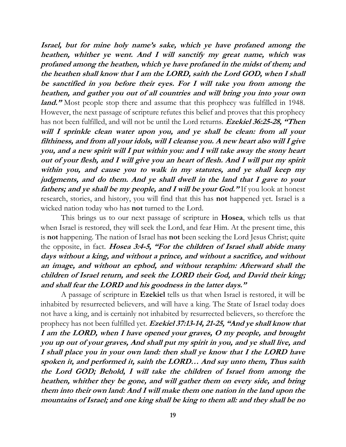**Israel, but for mine holy name's sake, which ye have profaned among the heathen, whither ye went. And I will sanctify my great name, which was profaned among the heathen, which ye have profaned in the midst of them; and the heathen shall know that I am the LORD, saith the Lord GOD, when I shall be sanctified in you before their eyes. For I will take you from among the heathen, and gather you out of all countries and will bring you into your own**  *land.* Most people stop there and assume that this prophecy was fulfilled in 1948. However, the next passage of scripture refutes this belief and proves that this prophecy has not been fulfilled, and will not be until the Lord returns. **Ezekiel 36:25-28, "Then will I sprinkle clean water upon you, and ye shall be clean: from all your filthiness, and from all your idols, will I cleanse you. A new heart also will I give you, and a new spirit will I put within you: and I will take away the stony heart out of your flesh, and I will give you an heart of flesh. And I will put my spirit within you, and cause you to walk in my statutes, and ye shall keep my judgments, and do them. And ye shall dwell in the land that I gave to your fathers; and ye shall be my people, and I will be your God."** If you look at honest research, stories, and history, you will find that this has **not** happened yet. Israel is a wicked nation today who has **not** turned to the Lord.

This brings us to our next passage of scripture in **Hosea**, which tells us that when Israel is restored, they will seek the Lord, and fear Him. At the present time, this is **not** happening. The nation of Israel has **not** been seeking the Lord Jesus Christ; quite the opposite, in fact. **Hosea 3:4-5, "For the children of Israel shall abide many days without a king, and without a prince, and without a sacrifice, and without an image, and without an ephod, and without teraphim: Afterward shall the children of Israel return, and seek the LORD their God, and David their king; and shall fear the LORD and his goodness in the latter days."**

A passage of scripture in **Ezekiel** tells us that when Israel is restored, it will be inhabited by resurrected believers, and will have a king. The State of Israel today does not have a king, and is certainly not inhabited by resurrected believers, so therefore the prophecy has not been fulfilled yet. **Ezekiel 37:13-14, 21-25, "And ye shall know that I am the LORD, when I have opened your graves, O my people, and brought you up out of your graves, And shall put my spirit in you, and ye shall live, and I shall place you in your own land: then shall ye know that I the LORD have spoken it, and performed it, saith the LORD… And say unto them, Thus saith the Lord GOD; Behold, I will take the children of Israel from among the heathen, whither they be gone, and will gather them on every side, and bring them into their own land: And I will make them one nation in the land upon the mountains of Israel; and one king shall be king to them all: and they shall be no**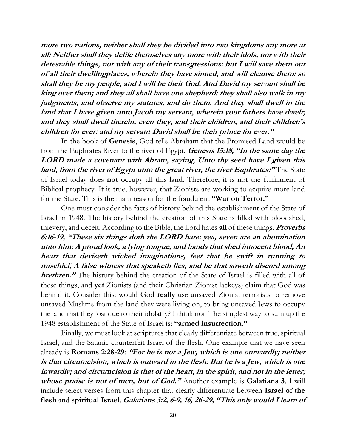**more two nations, neither shall they be divided into two kingdoms any more at all: Neither shall they defile themselves any more with their idols, nor with their detestable things, nor with any of their transgressions: but I will save them out of all their dwellingplaces, wherein they have sinned, and will cleanse them: so shall they be my people, and I will be their God. And David my servant shall be king over them; and they all shall have one shepherd: they shall also walk in my judgments, and observe my statutes, and do them. And they shall dwell in the land that I have given unto Jacob my servant, wherein your fathers have dwelt; and they shall dwell therein, even they, and their children, and their children's children for ever: and my servant David shall be their prince for ever."**

In the book of **Genesis**, God tells Abraham that the Promised Land would be from the Euphrates River to the river of Egypt. **Genesis 15:18, "In the same day the LORD made a covenant with Abram, saying, Unto thy seed have I given this land, from the river of Egypt unto the great river, the river Euphrates:"** The State of Israel today does **not** occupy all this land. Therefore, it is not the fulfillment of Biblical prophecy. It is true, however, that Zionists are working to acquire more land for the State. This is the main reason for the fraudulent **"War on Terror."**

One must consider the facts of history behind the establishment of the State of Israel in 1948. The history behind the creation of this State is filled with bloodshed, thievery, and deceit. According to the Bible, the Lord hates **all** of these things. **Proverbs 6:16-19, "These six things doth the LORD hate: yea, seven are an abomination unto him: A proud look, a lying tongue, and hands that shed innocent blood, An heart that deviseth wicked imaginations, feet that be swift in running to mischief, A false witness that speaketh lies, and he that soweth discord among brethren.**" The history behind the creation of the State of Israel is filled with all of these things, and **yet** Zionists (and their Christian Zionist lackeys) claim that God was behind it. Consider this: would God **really** use unsaved Zionist terrorists to remove unsaved Muslims from the land they were living on, to bring unsaved Jews to occupy the land that they lost due to their idolatry? I think not. The simplest way to sum up the 1948 establishment of the State of Israel is: **"armed insurrection."**

Finally, we must look at scriptures that clearly differentiate between true, spiritual Israel, and the Satanic counterfeit Israel of the flesh. One example that we have seen already is **Romans 2:28-29**: **"For he is not a Jew, which is one outwardly; neither is that circumcision, which is outward in the flesh: But he is a Jew, which is one inwardly; and circumcision is that of the heart, in the spirit, and not in the letter; whose praise is not of men, but of God."** Another example is **Galatians 3**. I will include select verses from this chapter that clearly differentiate between **Israel of the flesh** and **spiritual Israel**. **Galatians 3:2, 6-9, 16, 26-29, "This only would I learn of**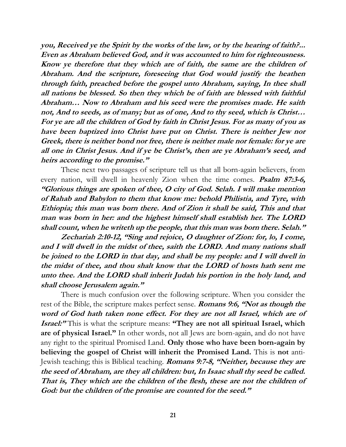**you, Received ye the Spirit by the works of the law, or by the hearing of faith?... Even as Abraham believed God, and it was accounted to him for righteousness. Know ye therefore that they which are of faith, the same are the children of Abraham. And the scripture, foreseeing that God would justify the heathen through faith, preached before the gospel unto Abraham, saying, In thee shall all nations be blessed. So then they which be of faith are blessed with faithful Abraham… Now to Abraham and his seed were the promises made. He saith not, And to seeds, as of many; but as of one, And to thy seed, which is Christ… For ye are all the children of God by faith in Christ Jesus. For as many of you as have been baptized into Christ have put on Christ. There is neither Jew nor Greek, there is neither bond nor free, there is neither male nor female: for ye are all one in Christ Jesus. And if ye be Christ's, then are ye Abraham's seed, and heirs according to the promise."**

These next two passages of scripture tell us that all born-again believers, from every nation, will dwell in heavenly Zion when the time comes. **Psalm 87:3-6, "Glorious things are spoken of thee, O city of God. Selah. I will make mention of Rahab and Babylon to them that know me: behold Philistia, and Tyre, with Ethiopia; this man was born there. And of Zion it shall be said, This and that man was born in her: and the highest himself shall establish her. The LORD shall count, when he writeth up the people, that this man was born there. Selah."**

**Zechariah 2:10-12, "Sing and rejoice, O daughter of Zion: for, lo, I come, and I will dwell in the midst of thee, saith the LORD. And many nations shall be joined to the LORD in that day, and shall be my people: and I will dwell in the midst of thee, and thou shalt know that the LORD of hosts hath sent me unto thee. And the LORD shall inherit Judah his portion in the holy land, and shall choose Jerusalem again."**

There is much confusion over the following scripture. When you consider the rest of the Bible, the scripture makes perfect sense. **Romans 9:6, "Not as though the word of God hath taken none effect. For they are not all Israel, which are of Israel:"** This is what the scripture means: **"They are not all spiritual Israel, which are of physical Israel."** In other words, not all Jews are born-again, and do not have any right to the spiritual Promised Land. **Only those who have been born-again by believing the gospel of Christ will inherit the Promised Land.** This is **not** anti-Jewish teaching; this is Biblical teaching. **Romans 9:7-8, "Neither, because they are the seed of Abraham, are they all children: but, In Isaac shall thy seed be called. That is, They which are the children of the flesh, these are not the children of God: but the children of the promise are counted for the seed."**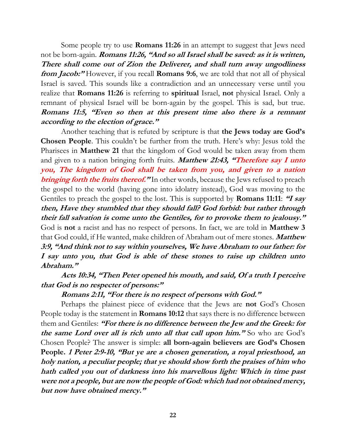Some people try to use **Romans 11:26** in an attempt to suggest that Jews need not be born-again. **Romans 11:26, "And so all Israel shall be saved: as it is written, There shall come out of Zion the Deliverer, and shall turn away ungodliness from Jacob:"** However, if you recall **Romans 9:6**, we are told that not all of physical Israel is saved. This sounds like a contradiction and an unnecessary verse until you realize that **Romans 11:26** is referring to **spiritual** Israel, **not** physical Israel. Only a remnant of physical Israel will be born-again by the gospel. This is sad, but true. **Romans 11:5, "Even so then at this present time also there is a remnant according to the election of grace."**

Another teaching that is refuted by scripture is that **the Jews today are God's Chosen People**. This couldn't be further from the truth. Here's why: Jesus told the Pharisees in **Matthew 21** that the kingdom of God would be taken away from them and given to a nation bringing forth fruits. **Matthew 21:43, "Therefore say I unto you, The kingdom of God shall be taken from you, and given to a nation bringing forth the fruits thereof.**" In other words, because the Jews refused to preach the gospel to the world (having gone into idolatry instead), God was moving to the Gentiles to preach the gospel to the lost. This is supported by **Romans 11:11**: **"I say then, Have they stumbled that they should fall? God forbid: but rather through their fall salvation is come unto the Gentiles, for to provoke them to jealousy."** God is **not** a racist and has no respect of persons. In fact, we are told in **Matthew 3** that God could, if He wanted, make children of Abraham out of mere stones. **Matthew 3:9, "And think not to say within yourselves, We have Abraham to our father: for I say unto you, that God is able of these stones to raise up children unto Abraham."**

#### **Acts 10:34, "Then Peter opened his mouth, and said, Of a truth I perceive that God is no respecter of persons:"**

#### **Romans 2:11, "For there is no respect of persons with God."**

Perhaps the plainest piece of evidence that the Jews are **not** God's Chosen People today is the statement in **Romans 10:12** that says there is no difference between them and Gentiles: **"For there is no difference between the Jew and the Greek: for the same Lord over all is rich unto all that call upon him."** So who are God's Chosen People? The answer is simple: **all born-again believers are God's Chosen People. 1 Peter 2:9-10, "But ye are a chosen generation, a royal priesthood, an holy nation, a peculiar people; that ye should show forth the praises of him who hath called you out of darkness into his marvellous light: Which in time past were not a people, but are now the people of God: which had not obtained mercy, but now have obtained mercy."**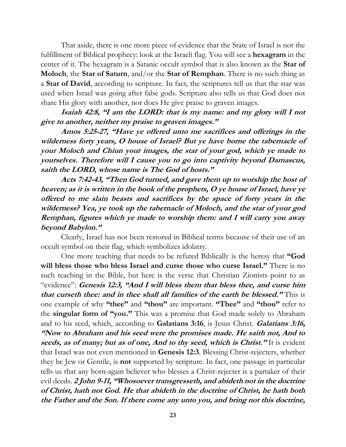That aside, there is one more piece of evidence that the State of Israel is not the fulfillment of Biblical prophecy: look at the Israeli flag. You will see a **hexagram** in the center of it. The hexagram is a Satanic occult symbol that is also known as the **Star of Moloch**, the **Star of Saturn**, and/or the **Star of Remphan**. There is no such thing as a **Star of David**, according to scripture. In fact, the scriptures tell us that the star was used when Israel was going after false gods. Scripture also tells us that God does not share His glory with another, nor does He give praise to graven images.

#### **Isaiah 42:8, "I am the LORD: that is my name: and my glory will I not give to another, neither my praise to graven images."**

**Amos 5:25-27, "Have ye offered unto me sacrifices and offerings in the wilderness forty years, O house of Israel? But ye have borne the tabernacle of your Moloch and Chiun your images, the star of your god, which ye made to yourselves. Therefore will I cause you to go into captivity beyond Damascus, saith the LORD, whose name is The God of hosts."**

**Acts 7:42-43, "Then God turned, and gave them up to worship the host of heaven; as it is written in the book of the prophets, O ye house of Israel, have ye offered to me slain beasts and sacrifices by the space of forty years in the wilderness? Yea, ye took up the tabernacle of Moloch, and the star of your god Remphan, figures which ye made to worship them: and I will carry you away beyond Babylon."**

Clearly, Israel has not been restored in Biblical terms because of their use of an occult symbol on their flag, which symbolizes idolatry.

One more teaching that needs to be refuted Biblically is the heresy that **"God will bless those who bless Israel and curse those who curse Israel."** There is no such teaching in the Bible, but here is the verse that Christian Zionists point to as "evidence": **Genesis 12:3, "And I will bless them that bless thee, and curse him that curseth thee: and in thee shall all families of the earth be blessed."** This is one example of why **"thee"** and **"thou"** are important. **"Thee"** and **"thou"** refer to the **singular form of "you."** This was a promise that God made solely to Abraham and to his seed, which, according to **Galatians 3:16**, is Jesus Christ. **Galatians 3:16, "Now to Abraham and his seed were the promises made. He saith not, And to seeds, as of many; but as of one, And to thy seed, which is Christ."** It is evident that Israel was not even mentioned in **Genesis 12:3**. Blessing Christ-rejecters, whether they be Jew or Gentile, is **not** supported by scripture. In fact, one passage in particular tells us that any born-again believer who blesses a Christ-rejecter is a partaker of their evil deeds. **2 John 9-11, "Whosoever transgresseth, and abideth not in the doctrine of Christ, hath not God. He that abideth in the doctrine of Christ, he hath both the Father and the Son. If there come any unto you, and bring not this doctrine,**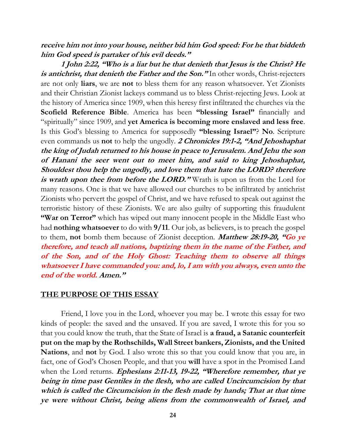**receive him not into your house, neither bid him God speed: For he that biddeth him God speed is partaker of his evil deeds."**

**1 John 2:22, "Who is a liar but he that denieth that Jesus is the Christ? He is antichrist, that denieth the Father and the Son."** In other words, Christ-rejecters are not only **liars**, we are **not** to bless them for any reason whatsoever. Yet Zionists and their Christian Zionist lackeys command us to bless Christ-rejecting Jews. Look at the history of America since 1909, when this heresy first infiltrated the churches via the **Scofield Reference Bible**. America has been **"blessing Israel"** financially and "spiritually" since 1909, and **yet America is becoming more enslaved and less free**. Is this God's blessing to America for supposedly **"blessing Israel"**? **No**. Scripture even commands us **not** to help the ungodly. **2 Chronicles 19:1-2, "And Jehoshaphat the king of Judah returned to his house in peace to Jerusalem. And Jehu the son of Hanani the seer went out to meet him, and said to king Jehoshaphat, Shouldest thou help the ungodly, and love them that hate the LORD? therefore**  *is wrath upon thee from before the LORD.* Wrath is upon us from the Lord for many reasons. One is that we have allowed our churches to be infiltrated by antichrist Zionists who pervert the gospel of Christ, and we have refused to speak out against the terroristic history of these Zionists. We are also guilty of supporting this fraudulent **"War on Terror"** which has wiped out many innocent people in the Middle East who had **nothing whatsoever** to do with **9/11**. Our job, as believers, is to preach the gospel to them, **not** bomb them because of Zionist deception. **Matthew 28:19-20, "Go ye therefore, and teach all nations, baptizing them in the name of the Father, and of the Son, and of the Holy Ghost: Teaching them to observe all things whatsoever I have commanded you: and, lo, I am with you always, even unto the end of the world. Amen."**

#### **THE PURPOSE OF THIS ESSAY**

Friend, I love you in the Lord, whoever you may be. I wrote this essay for two kinds of people: the saved and the unsaved. If you are saved, I wrote this for you so that you could know the truth, that the State of Israel is **a fraud, a Satanic counterfeit put on the map by the Rothschilds, Wall Street bankers, Zionists, and the United Nations**, and **not** by God. I also wrote this so that you could know that you are, in fact, one of God's Chosen People, and that you **will** have a spot in the Promised Land when the Lord returns. **Ephesians 2:11-13, 19-22, "Wherefore remember, that ye being in time past Gentiles in the flesh, who are called Uncircumcision by that which is called the Circumcision in the flesh made by hands; That at that time ye were without Christ, being aliens from the commonwealth of Israel, and**